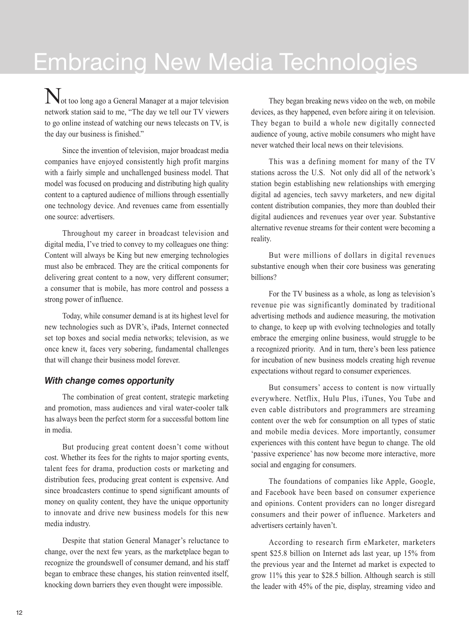## Embracing New Media Technologies

Not too long ago a General Manager at a major television network station said to me, "The day we tell our TV viewers to go online instead of watching our news telecasts on TV, is the day our business is finished."

Since the invention of television, major broadcast media companies have enjoyed consistently high profit margins with a fairly simple and unchallenged business model. That model was focused on producing and distributing high quality content to a captured audience of millions through essentially one technology device. And revenues came from essentially one source: advertisers.

Throughout my career in broadcast television and digital media, I've tried to convey to my colleagues one thing: Content will always be King but new emerging technologies must also be embraced. They are the critical components for delivering great content to a now, very different consumer; a consumer that is mobile, has more control and possess a strong power of influence.

Today, while consumer demand is at its highest level for new technologies such as DVR's, iPads, Internet connected set top boxes and social media networks; television, as we once knew it, faces very sobering, fundamental challenges that will change their business model forever.

## *With change comes opportunity*

The combination of great content, strategic marketing and promotion, mass audiences and viral water-cooler talk has always been the perfect storm for a successful bottom line in media.

But producing great content doesn't come without cost. Whether its fees for the rights to major sporting events, talent fees for drama, production costs or marketing and distribution fees, producing great content is expensive. And since broadcasters continue to spend significant amounts of money on quality content, they have the unique opportunity to innovate and drive new business models for this new media industry.

Despite that station General Manager's reluctance to change, over the next few years, as the marketplace began to recognize the groundswell of consumer demand, and his staff began to embrace these changes, his station reinvented itself, knocking down barriers they even thought were impossible.

They began breaking news video on the web, on mobile devices, as they happened, even before airing it on television. They began to build a whole new digitally connected audience of young, active mobile consumers who might have never watched their local news on their televisions.

This was a defining moment for many of the TV stations across the U.S. Not only did all of the network's station begin establishing new relationships with emerging digital ad agencies, tech savvy marketers, and new digital content distribution companies, they more than doubled their digital audiences and revenues year over year. Substantive alternative revenue streams for their content were becoming a reality.

But were millions of dollars in digital revenues substantive enough when their core business was generating billions?

For the TV business as a whole, as long as television's revenue pie was significantly dominated by traditional advertising methods and audience measuring, the motivation to change, to keep up with evolving technologies and totally embrace the emerging online business, would struggle to be a recognized priority. And in turn, there's been less patience for incubation of new business models creating high revenue expectations without regard to consumer experiences.

But consumers' access to content is now virtually everywhere. Netflix, Hulu Plus, iTunes, You Tube and even cable distributors and programmers are streaming content over the web for consumption on all types of static and mobile media devices. More importantly, consumer experiences with this content have begun to change. The old 'passive experience' has now become more interactive, more social and engaging for consumers.

The foundations of companies like Apple, Google, and Facebook have been based on consumer experience and opinions. Content providers can no longer disregard consumers and their power of influence. Marketers and advertisers certainly haven't.

According to research firm eMarketer, marketers spent \$25.8 billion on Internet ads last year, up 15% from the previous year and the Internet ad market is expected to grow 11% this year to \$28.5 billion. Although search is still the leader with 45% of the pie, display, streaming video and